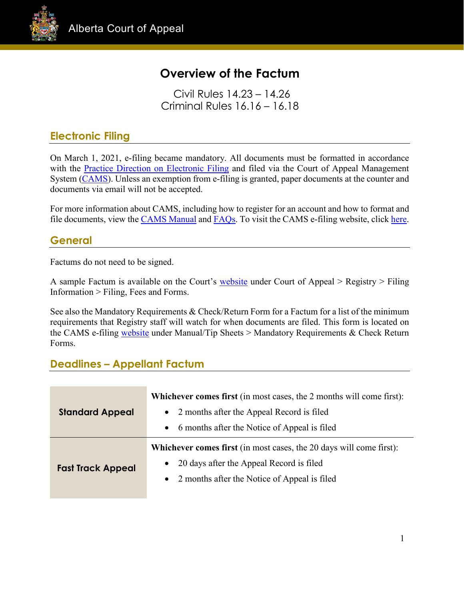

# **Overview of the Factum**

Civil Rules 14.23 – 14.26 Criminal Rules 16.16 – 16.18

# **Electronic Filing**

On March 1, 2021, e-filing became mandatory. All documents must be formatted in accordance with the **Practice Direction on Electronic Filing and filed** via the Court of Appeal Management System [\(CAMS\)](https://cams.albertacourts.ca/public-portal/). Unless an exemption from e-filing is granted, paper documents at the counter and documents via email will not be accepted.

For more information about CAMS, including how to register for an account and how to format and file documents, view the [CAMS Manual](https://cams.albertacourts.ca/public-portal/files/CAMSManual.pdf) and [FAQs.](https://cams.albertacourts.ca/public-portal/files/FAQS.pdf) To visit the CAMS e-filing website, click [here.](https://cams.albertacourts.ca/public-portal/)

# **General**

Factums do not need to be signed.

A sample Factum is available on the Court's [website](https://www.albertacourts.ca/ca/home) under Court of Appeal > Registry > Filing Information > Filing, Fees and Forms.

See also the Mandatory Requirements & Check/Return Form for a Factum for a list of the minimum requirements that Registry staff will watch for when documents are filed. This form is located on the CAMS e-filing [website](https://cams.albertacourts.ca/public-portal/) under Manual/Tip Sheets > Mandatory Requirements & Check Return Forms.

# **Deadlines – Appellant Factum**

| <b>Standard Appeal</b>   | <b>Whichever comes first</b> (in most cases, the 2 months will come first): |
|--------------------------|-----------------------------------------------------------------------------|
|                          | 2 months after the Appeal Record is filed<br>$\bullet$                      |
|                          | • 6 months after the Notice of Appeal is filed                              |
| <b>Fast Track Appeal</b> | <b>Whichever comes first</b> (in most cases, the 20 days will come first):  |
|                          | 20 days after the Appeal Record is filed<br>$\bullet$                       |
|                          | 2 months after the Notice of Appeal is filed<br>$\bullet$                   |
|                          |                                                                             |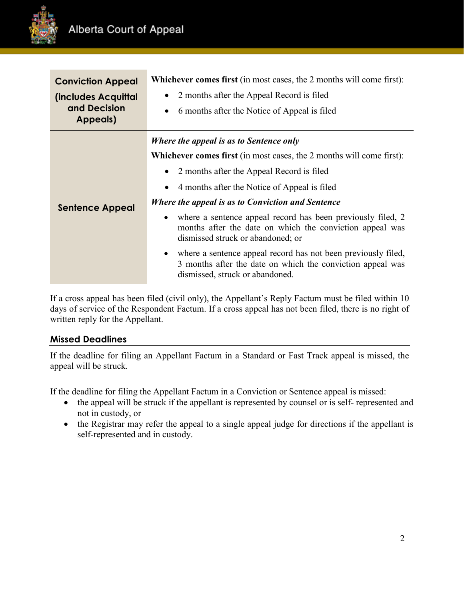

| <b>Conviction Appeal</b>                        | <b>Whichever comes first</b> (in most cases, the 2 months will come first):                                                                                                 |
|-------------------------------------------------|-----------------------------------------------------------------------------------------------------------------------------------------------------------------------------|
| (includes Acquittal<br>and Decision<br>Appeals) | 2 months after the Appeal Record is filed                                                                                                                                   |
|                                                 | 6 months after the Notice of Appeal is filed<br>$\bullet$                                                                                                                   |
| <b>Sentence Appeal</b>                          | Where the appeal is as to Sentence only                                                                                                                                     |
|                                                 | <b>Whichever comes first</b> (in most cases, the 2 months will come first):                                                                                                 |
|                                                 | 2 months after the Appeal Record is filed                                                                                                                                   |
|                                                 | 4 months after the Notice of Appeal is filed                                                                                                                                |
|                                                 | Where the appeal is as to Conviction and Sentence                                                                                                                           |
|                                                 | where a sentence appeal record has been previously filed, 2<br>$\bullet$<br>months after the date on which the conviction appeal was<br>dismissed struck or abandoned; or   |
|                                                 | where a sentence appeal record has not been previously filed,<br>$\bullet$<br>3 months after the date on which the conviction appeal was<br>dismissed, struck or abandoned. |

If a cross appeal has been filed (civil only), the Appellant's Reply Factum must be filed within 10 days of service of the Respondent Factum. If a cross appeal has not been filed, there is no right of written reply for the Appellant.

## **Missed Deadlines**

If the deadline for filing an Appellant Factum in a Standard or Fast Track appeal is missed, the appeal will be struck.

If the deadline for filing the Appellant Factum in a Conviction or Sentence appeal is missed:

- the appeal will be struck if the appellant is represented by counsel or is self- represented and not in custody, or
- the Registrar may refer the appeal to a single appeal judge for directions if the appellant is self-represented and in custody.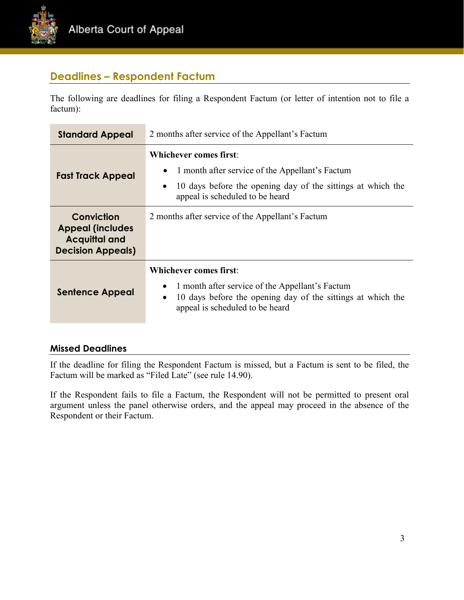

# **Deadlines – Respondent Factum**

The following are deadlines for filing a Respondent Factum (or letter of intention not to file a factum):

| <b>Standard Appeal</b>                                                                    | 2 months after service of the Appellant's Factum                                                                                                                                                             |
|-------------------------------------------------------------------------------------------|--------------------------------------------------------------------------------------------------------------------------------------------------------------------------------------------------------------|
| <b>Fast Track Appeal</b>                                                                  | Whichever comes first:<br>1 month after service of the Appellant's Factum<br>$\bullet$<br>10 days before the opening day of the sittings at which the<br>$\bullet$<br>appeal is scheduled to be heard        |
| Conviction<br><b>Appeal (includes</b><br><b>Acquittal and</b><br><b>Decision Appeals)</b> | 2 months after service of the Appellant's Factum                                                                                                                                                             |
| <b>Sentence Appeal</b>                                                                    | <b>Whichever comes first:</b><br>1 month after service of the Appellant's Factum<br>$\bullet$<br>10 days before the opening day of the sittings at which the<br>$\bullet$<br>appeal is scheduled to be heard |

#### **Missed Deadlines**

If the deadline for filing the Respondent Factum is missed, but a Factum is sent to be filed, the Factum will be marked as "Filed Late" (see rule 14.90).

If the Respondent fails to file a Factum, the Respondent will not be permitted to present oral argument unless the panel otherwise orders, and the appeal may proceed in the absence of the Respondent or their Factum.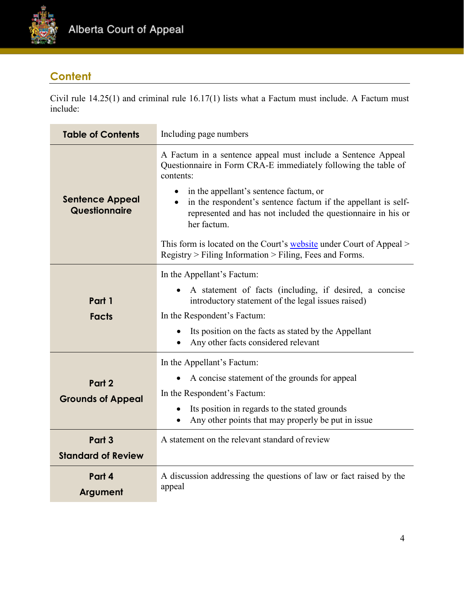

# **Content**

Civil rule 14.25(1) and criminal rule 16.17(1) lists what a Factum must include. A Factum must include:

| <b>Table of Contents</b>                | Including page numbers                                                                                                                                                                                                                                                                                                                                                                                                                                                  |
|-----------------------------------------|-------------------------------------------------------------------------------------------------------------------------------------------------------------------------------------------------------------------------------------------------------------------------------------------------------------------------------------------------------------------------------------------------------------------------------------------------------------------------|
| <b>Sentence Appeal</b><br>Questionnaire | A Factum in a sentence appeal must include a Sentence Appeal<br>Questionnaire in Form CRA-E immediately following the table of<br>contents:<br>in the appellant's sentence factum, or<br>in the respondent's sentence factum if the appellant is self-<br>represented and has not included the questionnaire in his or<br>her factum.<br>This form is located on the Court's website under Court of Appeal ><br>Registry > Filing Information > Filing, Fees and Forms. |
| Part 1<br><b>Facts</b>                  | In the Appellant's Factum:<br>A statement of facts (including, if desired, a concise<br>introductory statement of the legal issues raised)<br>In the Respondent's Factum:<br>Its position on the facts as stated by the Appellant<br>$\bullet$<br>Any other facts considered relevant                                                                                                                                                                                   |
| Part 2<br><b>Grounds of Appeal</b>      | In the Appellant's Factum:<br>A concise statement of the grounds for appeal<br>$\bullet$<br>In the Respondent's Factum:<br>Its position in regards to the stated grounds<br>$\bullet$<br>Any other points that may properly be put in issue                                                                                                                                                                                                                             |
| Part 3<br><b>Standard of Review</b>     | A statement on the relevant standard of review                                                                                                                                                                                                                                                                                                                                                                                                                          |
| Part 4<br>Argument                      | A discussion addressing the questions of law or fact raised by the<br>appeal                                                                                                                                                                                                                                                                                                                                                                                            |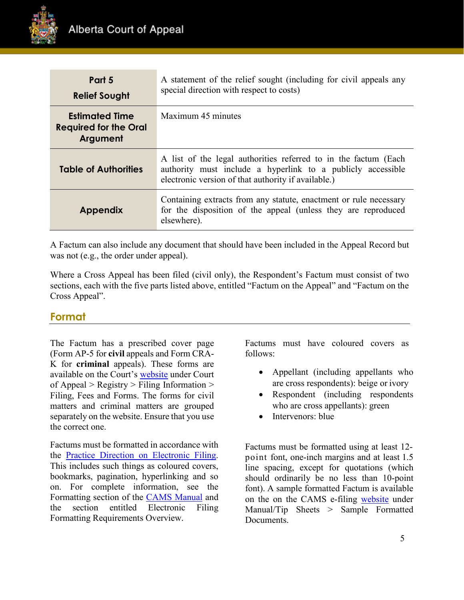

| Part 5<br><b>Relief Sought</b>                                    | A statement of the relief sought (including for civil appeals any<br>special direction with respect to costs)                                                                         |
|-------------------------------------------------------------------|---------------------------------------------------------------------------------------------------------------------------------------------------------------------------------------|
| <b>Estimated Time</b><br><b>Required for the Oral</b><br>Argument | Maximum 45 minutes                                                                                                                                                                    |
| <b>Table of Authorities</b>                                       | A list of the legal authorities referred to in the factum (Each<br>authority must include a hyperlink to a publicly accessible<br>electronic version of that authority if available.) |
| <b>Appendix</b>                                                   | Containing extracts from any statute, enactment or rule necessary<br>for the disposition of the appeal (unless they are reproduced<br>elsewhere).                                     |

A Factum can also include any document that should have been included in the Appeal Record but was not (e.g., the order under appeal).

Where a Cross Appeal has been filed (civil only), the Respondent's Factum must consist of two sections, each with the five parts listed above, entitled "Factum on the Appeal" and "Factum on the Cross Appeal".

## **Format**

The Factum has a prescribed cover page (Form AP-5 for **civil** appeals and Form CRA-K for **criminal** appeals). These forms are available on the Court's [website](https://www.albertacourts.ca/ca/home) under Court of Appeal  $>$  Registry  $>$  Filing Information  $>$ Filing, Fees and Forms. The forms for civil matters and criminal matters are grouped separately on the website. Ensure that you use the correct one.

Factums must be formatted in accordance with the [Practice Direction on Electronic Filing.](https://cams.albertacourts.ca/public-portal/files/practiceDirection.pdf) This includes such things as coloured covers, bookmarks, pagination, hyperlinking and so on. For complete information, see the Formatting section of the [CAMS Manual](https://cams.albertacourts.ca/public-portal/files/CAMSManual.pdf) and the section entitled Electronic Filing Formatting Requirements Overview.

Factums must have coloured covers as follows:

- Appellant (including appellants who are cross respondents): beige or ivory
- Respondent (including respondents) who are cross appellants): green
- Intervenors: blue

Factums must be formatted using at least 12 point font, one-inch margins and at least 1.5 line spacing, except for quotations (which should ordinarily be no less than 10-point font). A sample formatted Factum is available on the on the CAMS e-filing [website](https://cams.albertacourts.ca/public-portal/) under Manual/Tip Sheets > Sample Formatted Documents.